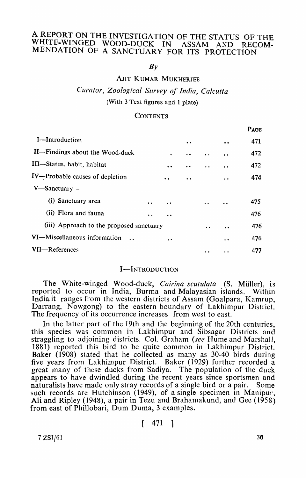# A REPORT ON THE INVESTIGATION OF THE STATUS OF THE WHITE-WINGED WOOD-DUCK IN ASSAM AND RECOM-MENDATION OF A SANCTUARY FOR ITS PROTECTION

 $Bv$ 

AJIT KUMAR MUKHERJEE

*Curator, Zoological Survey of India, Calcutta*  (With 3 Text figures and 1 plate)

#### **CONTENTS**

|                                          |                      |                    |           |                      | PAGE |
|------------------------------------------|----------------------|--------------------|-----------|----------------------|------|
| I-Introduction                           |                      |                    | $\bullet$ | $\bullet$            | 471  |
| II-Findings about the Wood-duck          |                      |                    | $\bullet$ | $\ddot{\phantom{a}}$ | 472  |
| III—Status, habit, habitat               |                      | $\bullet$          |           | . .                  | 472  |
| IV-Probable causes of depletion          |                      |                    | $\bullet$ | $\ddot{\phantom{0}}$ | 474  |
| $V$ —Sanctuary—                          |                      |                    |           |                      |      |
| (i) Sanctuary area                       | $\ddot{\phantom{a}}$ |                    |           |                      | 475  |
| (ii) Flora and fauna                     |                      | $\bullet\;\bullet$ |           |                      | 476  |
| (iii) Approach to the proposed sanctuary |                      |                    |           |                      | 476  |
| VI-Miscellaneous information             |                      | $\cdot$ $\cdot$    |           | $\bullet$            | 476  |
| VII-References                           |                      |                    |           |                      | 477  |
|                                          |                      |                    |           |                      |      |

# I-INTRODUCTION

The White-winged Wood-duck, *Cairina scutulata* (S. Müller), is reported to occur in India, Burma and Malayasian islands. Within India it ranges from the western districts of Assam (Goalpara, Kamrup, Darrang, Nowgong) to the eastern boundary of Lakhimpur District. The frequency of its occurrence increases from west to east.

In the latter part of the 19th and the beginning of the 20th centuries, this species was common in Lakhimpur and Sibsagar Districts and straggling to adjoining districts. Col. Graham (see Hume and Marshall, 1881) reported this bird to be quite common in Lakhimpur District. Baker (1908) stated that he collected as many as 30-40 birds during five years from Lakhimpur District. Baker (1929) further recorded a great many of these ducks from Sadiya. The population of the duck appears to have dwindled during the recent years since sportsmen and naturalists have made only stray records of a single bird or a pair. Some such records are Hutchinson (1949), of a single specimen in Manipur, Ali and Ripley (1948), a pair in Tezu and Brahamakund, and Gee (1958) from east of Phillobari, Dum Duma, 3 examples.

[ 471 ]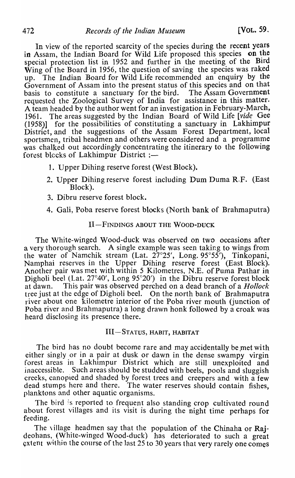In view of the reported scarcity of the species during the recent years in Assam, the Indian Board for Wild Life proposed this species on the special protection list in 1952 and further in the meeting of the Bird Wing of the Board in 1956, the question of saving the species was raked up. The Indian Board for Wild Life recommended an enquiry by the Government of Assam into the present status of this species and on that basis to constitute a sanctuary for the bird. The Assam Government basis to constitute a sanctuary for the bird. requested the Zoological Survey of India for assistance in this matter. A team headed by the author went for an investigation in February-March, 1961. The areas suggested by the Indian Board of Wild Life [vide Gee (1958)] for the possibilities of constituting a sanctuary in Lakhimpur for the possibilities of constituting a sanctuary in Lakhimpur District, and the suggestions of the Assam Forest Department, local sportsmen, tribal headmen and others were considered and a programme was chalked out accordingly concentrating the itinerary to the following forest blocks of Lakhimpur District :-

- 1. Upper Dihing reserve forest (West Block).
- 2. Upper Dihing reserve forest including Dum Duma R.F. (East Block).
- 3. Dibru reserve forest block.
- 4. Gali, Poba reserve forest blocks (North bank of Brahmaputra)

## II-FINDINGS ABOUT THE WOOD-DUCK

The White-winged Wood-duck was observed on two occasions after a very thorough search. A single example was seen taking to wings from the water of Namchik stream (Lat. 27°25', Long. 95°55'), Tinkopani, Namphai reserves in the Upper Dihing reserve forest (East Block). Another pair was met with within 5 Kilometres, N.E. of Puma Pathar in Digholi beel (Lat. 27°40', Long 95°20') in the Dibru reserve forest block at dawn. This pair was observed perched on a dead branch of a *Hollock*  tree just at the edge of Digholi beel. On the north bank of Brahmaputra river about one kilometre interior of the Poba river mouth (junction of Poba river and Brahmaputra) a long drawn honk followed by a croak was heard disclosing its presence there.

## III-STATUS, HABIT, HABITAT

The bird has no doubt become rare and may accidentally be met with either singly or in a pair at dusk or dawn in the dense swampy virgin forest areas in Lakhimpur District which are still unexploited and inaccessible. Such areas should be studded with beels, pools and sluggish creeks, canopied and shaded by forest trees and creepers and with a few dead stumps here and there. The water reserves should contain fishes, planktons and other aquatic organisms.

The bird is reported to frequent also standing crop cultivated round about forest villages and its visit is during the night time perhaps for feeding.

The village headmen say that the population of the Chinaha or Rajdeohans, (White-winged Wood-duck) has deteriorated to such a great  $ext{$  within the course of the last 25 to 30 years that very rarely one comes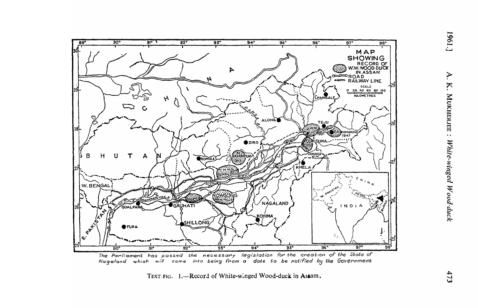

The Parliament has passed the necessary legislation for the creation of the State of which will come into being from a date to be notified by the Government Nagaland

TEXT-FIG. 1.-Record of White-winged Wood-duck in Assam.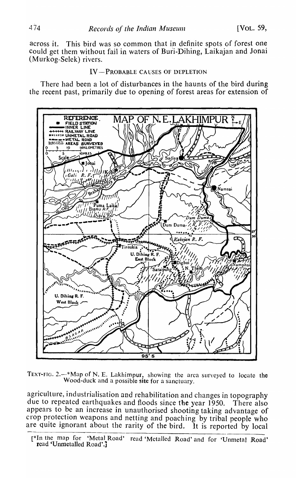across it. This bird was so common that in definite spots of forest one could get them without fail in waters of Buri-Dihing, Laikajan and Jonai (Murkog-Selek) rivers.

#### IV-PROBABLE CAUSES OF DEPLETION

There had been a lot of disturbances in the haunts of the bird during the recent past, primarily due to opening of forest areas for extension of



TEXT-FIG.  $2.$ -\*Map of N. E. Lakhimpur, showing the area surveyed to locate the Wood-duck and a possible site for a sanctuary.

agriculture, industrialisation and rehabilitation and changes in topography due to repeated earthquakes and floods since tbe year 1950. There also appears to be an increase in unauthorised shooting taking advantage of crop protection weapons and netting and poaching by tribal people who are quite ignorant about the rarity of the bird. It is reported by local

<sup>[\*</sup>In the map for 'Metal Road' read 'Metalled Road' and for 'Unmetal Road' read 'Unmetalled Road'.j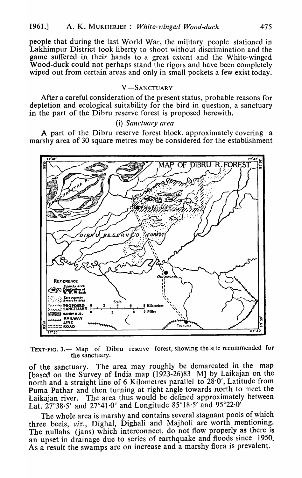people that during the last World War, the military people stationed in Lakhimpur District took liberty to shoot without discrimination and the game suffered in their hands to a great extent and the White-winged Wood-duck could not perhaps stand the rigors and have been completely wiped out from certain areas and only in small pockets a few exist today.

# V-SANCTUARY

After a careful consideration of the present status, probable reasons for depletion and ecological suitability for the bird in question, a sanctuary in the part of the Dibru reserve forest is proposed herewith.

### (i) Sanctuary area

A part of the Dibru reserve forest block, approximately covering a marshy area of 30 square metres may be considered for the establishment



TEXT-FIG. 3. - Map of Dibru reserve forest, showing the site recommended for the sanctuary.

of the sanctuary. The area may roughly be demarcated in the map [based on the Survey of India map (1923-26)83 M] by Laikajan on the north and a straight line of 6 Kilometres parallel to 28.0', Latitude from Puma Pathar and then turning at right angle towards north to meet the Laikajan river. The area thus would be defined approximately between Lat. 27°38.5' and 27°41.0' and Longitude 85°18.5' and 95°22.0'

The whole area is marshy and contains several stagnant pools of which three beels, viz., Dighal, Dighali and Majholi are worth mentioning. The nullahs (jans) which interconnect, do not flow properly as there is an upset in drainage due to series of earthquake and floods since 1950. As a result the swamps are on increase and a marshy flora is prevalent.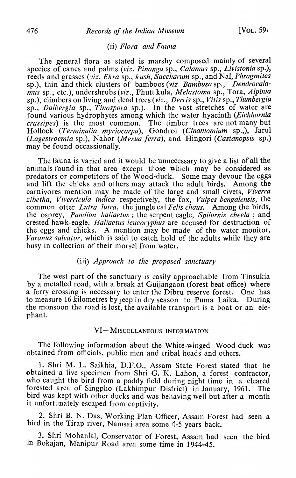# (ii) *Flora and Fauna*

The general flora as stated is marshy composed mainly of several species of canes and palms *(viz. Pinanga* sp., *Calamus* sp., *Livistonia* sp.), reeds and grasses *(viz. Ekra* sp., *kush, Saccharum* sp., and Nal, *Phragmites*  sp.), thin and thick clusters of bamboos *(viz. Bambusa* sp., *Dendrocalamus* sp., etc.), undershrubs *(viz.,* PhutukuJa, *Melastoma* sp., Tora, *Alpinia*  sp.), climbers on living and dead trees *(viz., Derris* sp., *Vitis* sp., *Thunbergia*  sp., *Dalbergia* sp., *Tinospora* sp.). In the vast stretches of water are found various hydrophytes among which the water hyacinth *(Eichhornia crassipes)* is the most common. The timber trees are not many but Hollock *(Terminalia myriocarpa)*, Gondroi *(Cinamomium* sp.,), Jarul *(Lagestroemia sp.), Nahor <i>(Mesua ferra)*, and *Hingori <i>(Castanopsis sp.)* may be found occassionally.

The fauna is varied and it would be unnecessary to give a list of all the animals found in that area except those which may be considered as predators or competitors of the Wood-duck. Some may devour the eggs and lift the chicks and others may attack the adult birds. Among the carnivores mention may be made of the large and small civets, *Viverra zibetha, Viverricula indica* respectively, the fox, *Vulpes bengalensis,* the common otter *Lutra lutra*, the jungle cat *Felis chaus*. Among the birds, the osprey, *Pandion haliaetus*; the serpent eagle, *Spilornis cheela*; and crested hawk-eagle, *Haliaetus leucoryphus* are accused for destruction of the eggs and chicks. A mention may be made of the water monitor, *Varanus salvator*, which is said to catch hold of the adults while they are busy in collection of their morsel from water.

# (iii) *Approach to the proposed sanctuary*

The west part of the sanctuary is easily approachable from Tinsukia by a metalled road, with a break at Guijangaon (forest beat office) where a ferry crossing is necessary to enter the Dibru reserve forest. One has to measure 16 kilometres by jeep in dry season to Puma Laika. During the monsoon the road is lost, the available transport is a boat or an elephant.

#### VI-MISCELLANEOUS INFORMATION

The following information about the White-winged Wood-duck was obtained from officials, public men and tribal heads and others.

1. Shri M. L. Saikhia, D.F.O., Assam State Forest stated that he obtained a live specimen from Shri G. K. Lahon, a forest contractor, who caught the bird from a paddy field during night time in a cleared forested area of Singpho (Lakhimpur District) in January, 1961. The bird was kept with other ducks and was behaving well but after a month it unfortunately escaped from captivity.

2. Shri B. N. Das, Working P1an Officer, Assam Forest had seen a bird in the Tirap river, Namsai area some 4-5 years back.

3. Shri Mohanlal, Conservator of Forest, Assam had seen the bird in Bokajan, Manipur Road area some time in 1944-45.